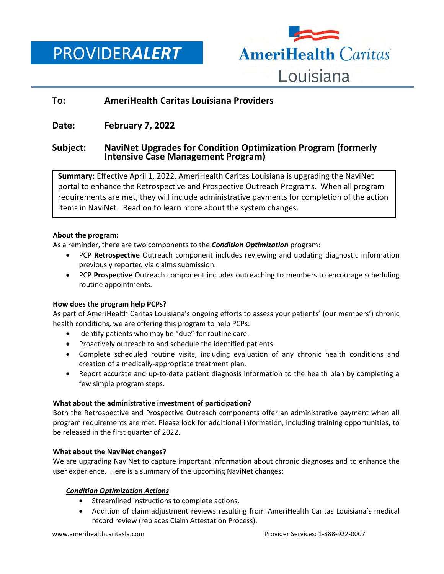PROVIDER*ALERT*



# **To: AmeriHealth Caritas Louisiana Providers**

## **Date: February 7, 2022**

### **Subject: NaviNet Upgrades for Condition Optimization Program (formerly Intensive Case Management Program)**

**Summary:** Effective April 1, 2022, AmeriHealth Caritas Louisiana is upgrading the NaviNet portal to enhance the Retrospective and Prospective Outreach Programs. When all program requirements are met, they will include administrative payments for completion of the action items in NaviNet. Read on to learn more about the system changes.

#### **About the program:**

As a reminder, there are two components to the *Condition Optimization* program:

- PCP **Retrospective** Outreach component includes reviewing and updating diagnostic information previously reported via claims submission.
- PCP **Prospective** Outreach component includes outreaching to members to encourage scheduling routine appointments.

#### **How does the program help PCPs?**

As part of AmeriHealth Caritas Louisiana's ongoing efforts to assess your patients' (our members') chronic health conditions, we are offering this program to help PCPs:

- Identify patients who may be "due" for routine care.
- Proactively outreach to and schedule the identified patients.
- Complete scheduled routine visits, including evaluation of any chronic health conditions and creation of a medically-appropriate treatment plan.
- Report accurate and up-to-date patient diagnosis information to the health plan by completing a few simple program steps.

#### **What about the administrative investment of participation?**

Both the Retrospective and Prospective Outreach components offer an administrative payment when all program requirements are met. Please look for additional information, including training opportunities, to be released in the first quarter of 2022.

#### **What about the NaviNet changes?**

We are upgrading NaviNet to capture important information about chronic diagnoses and to enhance the user experience. Here is a summary of the upcoming NaviNet changes:

#### *Condition Optimization Actions*

- Streamlined instructions to complete actions.
- Addition of claim adjustment reviews resulting from AmeriHealth Caritas Louisiana's medical record review (replaces Claim Attestation Process).